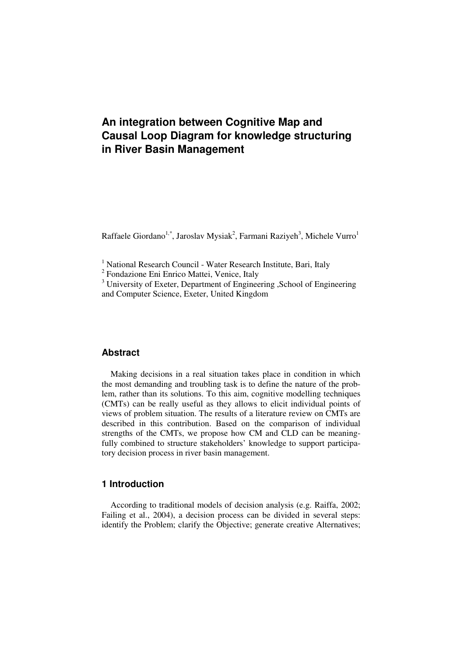# **An integration between Cognitive Map and Causal Loop Diagram for knowledge structuring in River Basin Management**

Raffaele Giordano<sup>1,\*</sup>, Jaroslav Mysiak<sup>2</sup>, Farmani Raziyeh<sup>3</sup>, Michele Vurro<sup>1</sup>

<sup>1</sup> National Research Council - Water Research Institute, Bari, Italy <sup>2</sup> Fondazione Eni Enrico Mattei, Venice, Italy

<sup>3</sup> University of Exeter, Department of Engineering , School of Engineering and Computer Science, Exeter, United Kingdom

#### **Abstract**

Making decisions in a real situation takes place in condition in which the most demanding and troubling task is to define the nature of the problem, rather than its solutions. To this aim, cognitive modelling techniques (CMTs) can be really useful as they allows to elicit individual points of views of problem situation. The results of a literature review on CMTs are described in this contribution. Based on the comparison of individual strengths of the CMTs, we propose how CM and CLD can be meaningfully combined to structure stakeholders' knowledge to support participatory decision process in river basin management.

### **1 Introduction**

According to traditional models of decision analysis (e.g. Raiffa, 2002; Failing et al., 2004), a decision process can be divided in several steps: identify the Problem; clarify the Objective; generate creative Alternatives;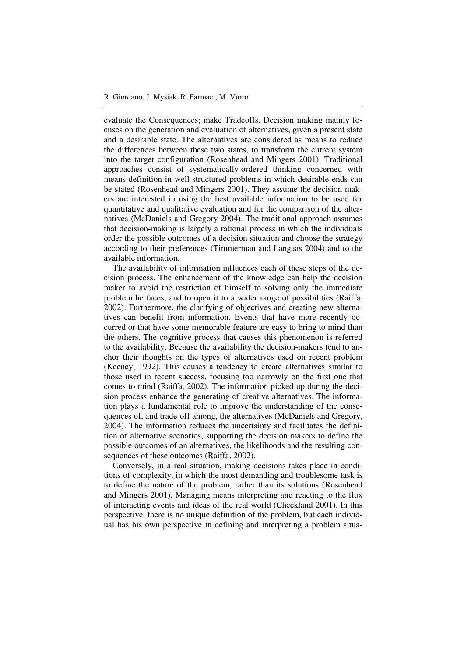evaluate the Consequences; make Tradeoffs. Decision making mainly focuses on the generation and evaluation of alternatives, given a present state and a desirable state. The alternatives are considered as means to reduce the differences between these two states, to transform the current system into the target configuration (Rosenhead and Mingers 2001). Traditional approaches consist of systematically-ordered thinking concerned with means-definition in well-structured problems in which desirable ends can be stated (Rosenhead and Mingers 2001). They assume the decision makers are interested in using the best available information to be used for quantitative and qualitative evaluation and for the comparison of the alternatives (McDaniels and Gregory 2004). The traditional approach assumes that decision-making is largely a rational process in which the individuals order the possible outcomes of a decision situation and choose the strategy according to their preferences (Timmerman and Langaas 2004) and to the available information.

The availability of information influences each of these steps of the decision process. The enhancement of the knowledge can help the decision maker to avoid the restriction of himself to solving only the immediate problem he faces, and to open it to a wider range of possibilities (Raiffa, 2002). Furthermore, the clarifying of objectives and creating new alternatives can benefit from information. Events that have more recently occurred or that have some memorable feature are easy to bring to mind than the others. The cognitive process that causes this phenomenon is referred to the availability. Because the availability the decision-makers tend to anchor their thoughts on the types of alternatives used on recent problem (Keeney, 1992). This causes a tendency to create alternatives similar to those used in recent success, focusing too narrowly on the first one that comes to mind (Raiffa, 2002). The information picked up during the decision process enhance the generating of creative alternatives. The information plays a fundamental role to improve the understanding of the consequences of, and trade-off among, the alternatives (McDaniels and Gregory, 2004). The information reduces the uncertainty and facilitates the definition of alternative scenarios, supporting the decision makers to define the possible outcomes of an alternatives, the likelihoods and the resulting consequences of these outcomes (Raiffa, 2002).

Conversely, in a real situation, making decisions takes place in conditions of complexity, in which the most demanding and troublesome task is to define the nature of the problem, rather than its solutions (Rosenhead and Mingers 2001). Managing means interpreting and reacting to the flux of interacting events and ideas of the real world (Checkland 2001). In this perspective, there is no unique definition of the problem, but each individual has his own perspective in defining and interpreting a problem situa-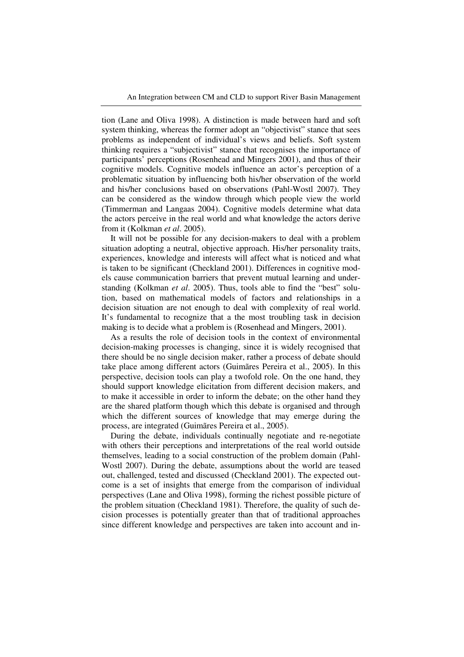tion (Lane and Oliva 1998). A distinction is made between hard and soft system thinking, whereas the former adopt an "objectivist" stance that sees problems as independent of individual's views and beliefs. Soft system thinking requires a "subjectivist" stance that recognises the importance of participants' perceptions (Rosenhead and Mingers 2001), and thus of their cognitive models. Cognitive models influence an actor's perception of a problematic situation by influencing both his/her observation of the world and his/her conclusions based on observations (Pahl-Wostl 2007). They can be considered as the window through which people view the world (Timmerman and Langaas 2004). Cognitive models determine what data the actors perceive in the real world and what knowledge the actors derive from it (Kolkman *et al*. 2005).

It will not be possible for any decision-makers to deal with a problem situation adopting a neutral, objective approach. His/her personality traits, experiences, knowledge and interests will affect what is noticed and what is taken to be significant (Checkland 2001). Differences in cognitive models cause communication barriers that prevent mutual learning and understanding (Kolkman *et al*. 2005). Thus, tools able to find the "best" solution, based on mathematical models of factors and relationships in a decision situation are not enough to deal with complexity of real world. It's fundamental to recognize that a the most troubling task in decision making is to decide what a problem is (Rosenhead and Mingers, 2001).

As a results the role of decision tools in the context of environmental decision-making processes is changing, since it is widely recognised that there should be no single decision maker, rather a process of debate should take place among different actors (Guimãres Pereira et al., 2005). In this perspective, decision tools can play a twofold role. On the one hand, they should support knowledge elicitation from different decision makers, and to make it accessible in order to inform the debate; on the other hand they are the shared platform though which this debate is organised and through which the different sources of knowledge that may emerge during the process, are integrated (Guimãres Pereira et al., 2005).

During the debate, individuals continually negotiate and re-negotiate with others their perceptions and interpretations of the real world outside themselves, leading to a social construction of the problem domain (Pahl-Wostl 2007). During the debate, assumptions about the world are teased out, challenged, tested and discussed (Checkland 2001). The expected outcome is a set of insights that emerge from the comparison of individual perspectives (Lane and Oliva 1998), forming the richest possible picture of the problem situation (Checkland 1981). Therefore, the quality of such decision processes is potentially greater than that of traditional approaches since different knowledge and perspectives are taken into account and in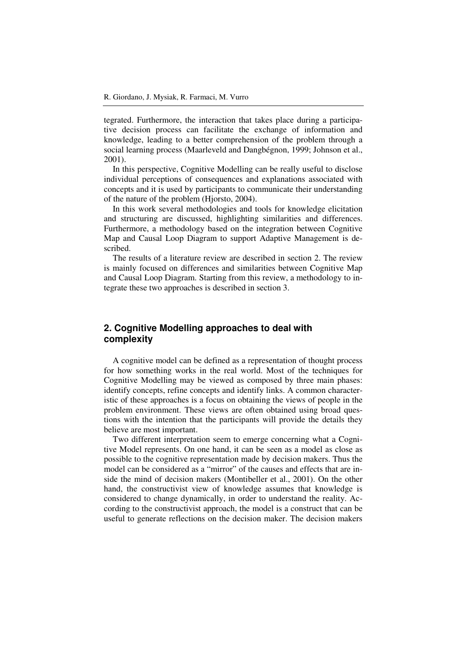tegrated. Furthermore, the interaction that takes place during a participative decision process can facilitate the exchange of information and knowledge, leading to a better comprehension of the problem through a social learning process (Maarleveld and Dangbégnon, 1999; Johnson et al., 2001).

In this perspective, Cognitive Modelling can be really useful to disclose individual perceptions of consequences and explanations associated with concepts and it is used by participants to communicate their understanding of the nature of the problem (Hjorsto, 2004).

In this work several methodologies and tools for knowledge elicitation and structuring are discussed, highlighting similarities and differences. Furthermore, a methodology based on the integration between Cognitive Map and Causal Loop Diagram to support Adaptive Management is described.

The results of a literature review are described in section 2. The review is mainly focused on differences and similarities between Cognitive Map and Causal Loop Diagram. Starting from this review, a methodology to integrate these two approaches is described in section 3.

# **2. Cognitive Modelling approaches to deal with complexity**

A cognitive model can be defined as a representation of thought process for how something works in the real world. Most of the techniques for Cognitive Modelling may be viewed as composed by three main phases: identify concepts, refine concepts and identify links. A common characteristic of these approaches is a focus on obtaining the views of people in the problem environment. These views are often obtained using broad questions with the intention that the participants will provide the details they believe are most important.

Two different interpretation seem to emerge concerning what a Cognitive Model represents. On one hand, it can be seen as a model as close as possible to the cognitive representation made by decision makers. Thus the model can be considered as a "mirror" of the causes and effects that are inside the mind of decision makers (Montibeller et al., 2001). On the other hand, the constructivist view of knowledge assumes that knowledge is considered to change dynamically, in order to understand the reality. According to the constructivist approach, the model is a construct that can be useful to generate reflections on the decision maker. The decision makers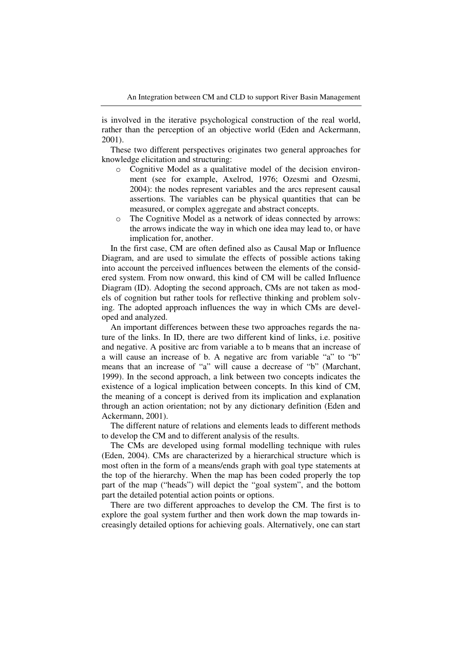is involved in the iterative psychological construction of the real world, rather than the perception of an objective world (Eden and Ackermann, 2001).

These two different perspectives originates two general approaches for knowledge elicitation and structuring:

- o Cognitive Model as a qualitative model of the decision environment (see for example, Axelrod, 1976; Ozesmi and Ozesmi, 2004): the nodes represent variables and the arcs represent causal assertions. The variables can be physical quantities that can be measured, or complex aggregate and abstract concepts.
- o The Cognitive Model as a network of ideas connected by arrows: the arrows indicate the way in which one idea may lead to, or have implication for, another.

In the first case, CM are often defined also as Causal Map or Influence Diagram, and are used to simulate the effects of possible actions taking into account the perceived influences between the elements of the considered system. From now onward, this kind of CM will be called Influence Diagram (ID). Adopting the second approach, CMs are not taken as models of cognition but rather tools for reflective thinking and problem solving. The adopted approach influences the way in which CMs are developed and analyzed.

An important differences between these two approaches regards the nature of the links. In ID, there are two different kind of links, i.e. positive and negative. A positive arc from variable a to b means that an increase of a will cause an increase of b. A negative arc from variable "a" to "b" means that an increase of "a" will cause a decrease of "b" (Marchant, 1999). In the second approach, a link between two concepts indicates the existence of a logical implication between concepts. In this kind of CM, the meaning of a concept is derived from its implication and explanation through an action orientation; not by any dictionary definition (Eden and Ackermann, 2001).

The different nature of relations and elements leads to different methods to develop the CM and to different analysis of the results.

The CMs are developed using formal modelling technique with rules (Eden, 2004). CMs are characterized by a hierarchical structure which is most often in the form of a means/ends graph with goal type statements at the top of the hierarchy. When the map has been coded properly the top part of the map ("heads") will depict the "goal system", and the bottom part the detailed potential action points or options.

There are two different approaches to develop the CM. The first is to explore the goal system further and then work down the map towards increasingly detailed options for achieving goals. Alternatively, one can start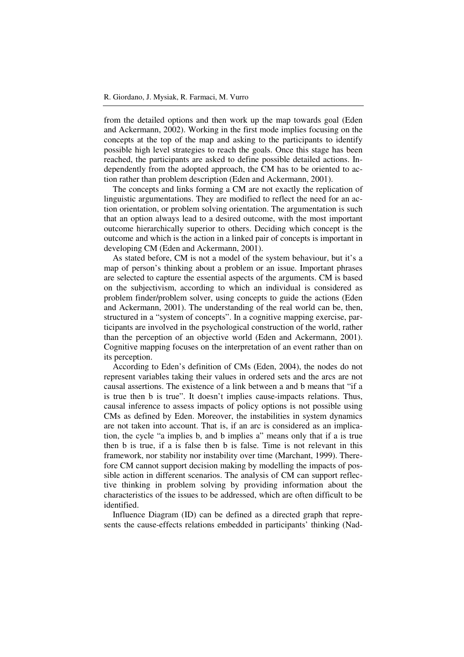from the detailed options and then work up the map towards goal (Eden and Ackermann, 2002). Working in the first mode implies focusing on the concepts at the top of the map and asking to the participants to identify possible high level strategies to reach the goals. Once this stage has been reached, the participants are asked to define possible detailed actions. Independently from the adopted approach, the CM has to be oriented to action rather than problem description (Eden and Ackermann, 2001).

The concepts and links forming a CM are not exactly the replication of linguistic argumentations. They are modified to reflect the need for an action orientation, or problem solving orientation. The argumentation is such that an option always lead to a desired outcome, with the most important outcome hierarchically superior to others. Deciding which concept is the outcome and which is the action in a linked pair of concepts is important in developing CM (Eden and Ackermann, 2001).

As stated before, CM is not a model of the system behaviour, but it's a map of person's thinking about a problem or an issue. Important phrases are selected to capture the essential aspects of the arguments. CM is based on the subjectivism, according to which an individual is considered as problem finder/problem solver, using concepts to guide the actions (Eden and Ackermann, 2001). The understanding of the real world can be, then, structured in a "system of concepts". In a cognitive mapping exercise, participants are involved in the psychological construction of the world, rather than the perception of an objective world (Eden and Ackermann, 2001). Cognitive mapping focuses on the interpretation of an event rather than on its perception.

According to Eden's definition of CMs (Eden, 2004), the nodes do not represent variables taking their values in ordered sets and the arcs are not causal assertions. The existence of a link between a and b means that "if a is true then b is true". It doesn't implies cause-impacts relations. Thus, causal inference to assess impacts of policy options is not possible using CMs as defined by Eden. Moreover, the instabilities in system dynamics are not taken into account. That is, if an arc is considered as an implication, the cycle "a implies b, and b implies a" means only that if a is true then b is true, if a is false then b is false. Time is not relevant in this framework, nor stability nor instability over time (Marchant, 1999). Therefore CM cannot support decision making by modelling the impacts of possible action in different scenarios. The analysis of CM can support reflective thinking in problem solving by providing information about the characteristics of the issues to be addressed, which are often difficult to be identified.

Influence Diagram (ID) can be defined as a directed graph that represents the cause-effects relations embedded in participants' thinking (Nad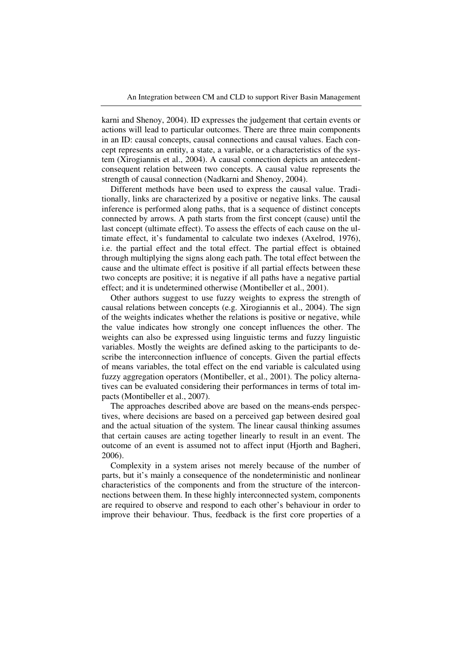karni and Shenoy, 2004). ID expresses the judgement that certain events or actions will lead to particular outcomes. There are three main components in an ID: causal concepts, causal connections and causal values. Each concept represents an entity, a state, a variable, or a characteristics of the system (Xirogiannis et al., 2004). A causal connection depicts an antecedentconsequent relation between two concepts. A causal value represents the strength of causal connection (Nadkarni and Shenoy, 2004).

Different methods have been used to express the causal value. Traditionally, links are characterized by a positive or negative links. The causal inference is performed along paths, that is a sequence of distinct concepts connected by arrows. A path starts from the first concept (cause) until the last concept (ultimate effect). To assess the effects of each cause on the ultimate effect, it's fundamental to calculate two indexes (Axelrod, 1976), i.e. the partial effect and the total effect. The partial effect is obtained through multiplying the signs along each path. The total effect between the cause and the ultimate effect is positive if all partial effects between these two concepts are positive; it is negative if all paths have a negative partial effect; and it is undetermined otherwise (Montibeller et al., 2001).

Other authors suggest to use fuzzy weights to express the strength of causal relations between concepts (e.g. Xirogiannis et al., 2004). The sign of the weights indicates whether the relations is positive or negative, while the value indicates how strongly one concept influences the other. The weights can also be expressed using linguistic terms and fuzzy linguistic variables. Mostly the weights are defined asking to the participants to describe the interconnection influence of concepts. Given the partial effects of means variables, the total effect on the end variable is calculated using fuzzy aggregation operators (Montibeller, et al., 2001). The policy alternatives can be evaluated considering their performances in terms of total impacts (Montibeller et al., 2007).

The approaches described above are based on the means-ends perspectives, where decisions are based on a perceived gap between desired goal and the actual situation of the system. The linear causal thinking assumes that certain causes are acting together linearly to result in an event. The outcome of an event is assumed not to affect input (Hjorth and Bagheri, 2006).

Complexity in a system arises not merely because of the number of parts, but it's mainly a consequence of the nondeterministic and nonlinear characteristics of the components and from the structure of the interconnections between them. In these highly interconnected system, components are required to observe and respond to each other's behaviour in order to improve their behaviour. Thus, feedback is the first core properties of a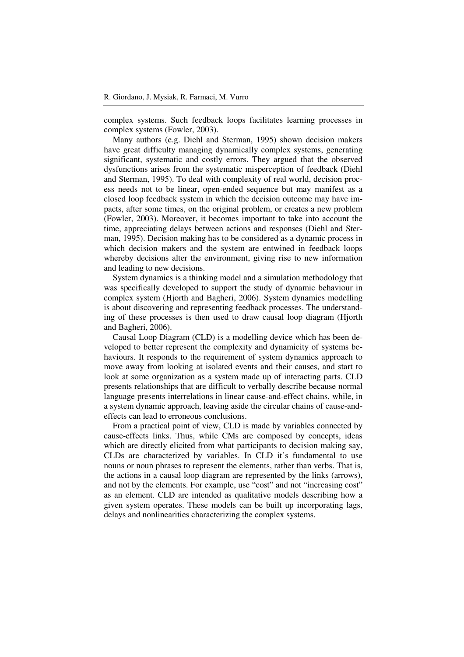complex systems. Such feedback loops facilitates learning processes in complex systems (Fowler, 2003).

Many authors (e.g. Diehl and Sterman, 1995) shown decision makers have great difficulty managing dynamically complex systems, generating significant, systematic and costly errors. They argued that the observed dysfunctions arises from the systematic misperception of feedback (Diehl and Sterman, 1995). To deal with complexity of real world, decision process needs not to be linear, open-ended sequence but may manifest as a closed loop feedback system in which the decision outcome may have impacts, after some times, on the original problem, or creates a new problem (Fowler, 2003). Moreover, it becomes important to take into account the time, appreciating delays between actions and responses (Diehl and Sterman, 1995). Decision making has to be considered as a dynamic process in which decision makers and the system are entwined in feedback loops whereby decisions alter the environment, giving rise to new information and leading to new decisions.

System dynamics is a thinking model and a simulation methodology that was specifically developed to support the study of dynamic behaviour in complex system (Hjorth and Bagheri, 2006). System dynamics modelling is about discovering and representing feedback processes. The understanding of these processes is then used to draw causal loop diagram (Hjorth and Bagheri, 2006).

Causal Loop Diagram (CLD) is a modelling device which has been developed to better represent the complexity and dynamicity of systems behaviours. It responds to the requirement of system dynamics approach to move away from looking at isolated events and their causes, and start to look at some organization as a system made up of interacting parts. CLD presents relationships that are difficult to verbally describe because normal language presents interrelations in linear cause-and-effect chains, while, in a system dynamic approach, leaving aside the circular chains of cause-andeffects can lead to erroneous conclusions.

From a practical point of view, CLD is made by variables connected by cause-effects links. Thus, while CMs are composed by concepts, ideas which are directly elicited from what participants to decision making say, CLDs are characterized by variables. In CLD it's fundamental to use nouns or noun phrases to represent the elements, rather than verbs. That is, the actions in a causal loop diagram are represented by the links (arrows), and not by the elements. For example, use "cost" and not "increasing cost" as an element. CLD are intended as qualitative models describing how a given system operates. These models can be built up incorporating lags, delays and nonlinearities characterizing the complex systems.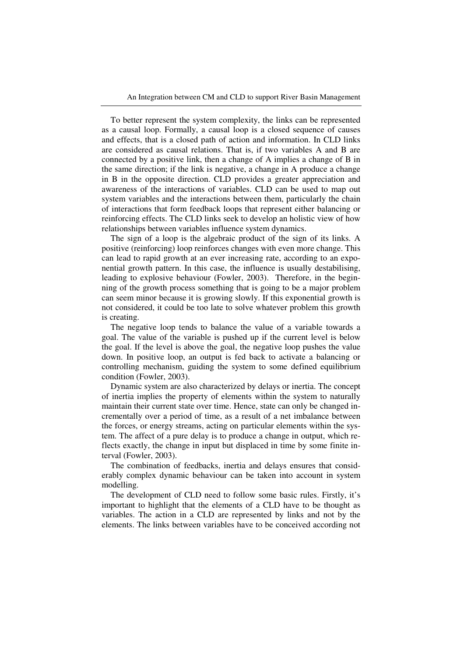To better represent the system complexity, the links can be represented as a causal loop. Formally, a causal loop is a closed sequence of causes and effects, that is a closed path of action and information. In CLD links are considered as causal relations. That is, if two variables A and B are connected by a positive link, then a change of A implies a change of B in the same direction; if the link is negative, a change in A produce a change in B in the opposite direction. CLD provides a greater appreciation and awareness of the interactions of variables. CLD can be used to map out system variables and the interactions between them, particularly the chain of interactions that form feedback loops that represent either balancing or reinforcing effects. The CLD links seek to develop an holistic view of how relationships between variables influence system dynamics.

The sign of a loop is the algebraic product of the sign of its links. A positive (reinforcing) loop reinforces changes with even more change. This can lead to rapid growth at an ever increasing rate, according to an exponential growth pattern. In this case, the influence is usually destabilising, leading to explosive behaviour (Fowler, 2003). Therefore, in the beginning of the growth process something that is going to be a major problem can seem minor because it is growing slowly. If this exponential growth is not considered, it could be too late to solve whatever problem this growth is creating.

The negative loop tends to balance the value of a variable towards a goal. The value of the variable is pushed up if the current level is below the goal. If the level is above the goal, the negative loop pushes the value down. In positive loop, an output is fed back to activate a balancing or controlling mechanism, guiding the system to some defined equilibrium condition (Fowler, 2003).

Dynamic system are also characterized by delays or inertia. The concept of inertia implies the property of elements within the system to naturally maintain their current state over time. Hence, state can only be changed incrementally over a period of time, as a result of a net imbalance between the forces, or energy streams, acting on particular elements within the system. The affect of a pure delay is to produce a change in output, which reflects exactly, the change in input but displaced in time by some finite interval (Fowler, 2003).

The combination of feedbacks, inertia and delays ensures that considerably complex dynamic behaviour can be taken into account in system modelling.

The development of CLD need to follow some basic rules. Firstly, it's important to highlight that the elements of a CLD have to be thought as variables. The action in a CLD are represented by links and not by the elements. The links between variables have to be conceived according not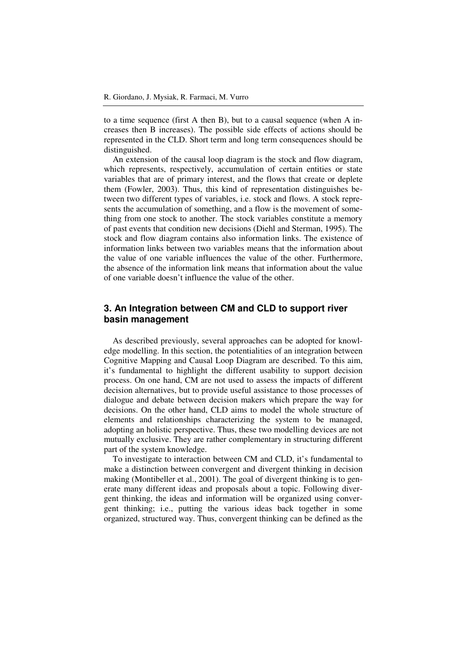to a time sequence (first A then B), but to a causal sequence (when A increases then B increases). The possible side effects of actions should be represented in the CLD. Short term and long term consequences should be distinguished.

An extension of the causal loop diagram is the stock and flow diagram, which represents, respectively, accumulation of certain entities or state variables that are of primary interest, and the flows that create or deplete them (Fowler, 2003). Thus, this kind of representation distinguishes between two different types of variables, i.e. stock and flows. A stock represents the accumulation of something, and a flow is the movement of something from one stock to another. The stock variables constitute a memory of past events that condition new decisions (Diehl and Sterman, 1995). The stock and flow diagram contains also information links. The existence of information links between two variables means that the information about the value of one variable influences the value of the other. Furthermore, the absence of the information link means that information about the value of one variable doesn't influence the value of the other.

# **3. An Integration between CM and CLD to support river basin management**

As described previously, several approaches can be adopted for knowledge modelling. In this section, the potentialities of an integration between Cognitive Mapping and Causal Loop Diagram are described. To this aim, it's fundamental to highlight the different usability to support decision process. On one hand, CM are not used to assess the impacts of different decision alternatives, but to provide useful assistance to those processes of dialogue and debate between decision makers which prepare the way for decisions. On the other hand, CLD aims to model the whole structure of elements and relationships characterizing the system to be managed, adopting an holistic perspective. Thus, these two modelling devices are not mutually exclusive. They are rather complementary in structuring different part of the system knowledge.

To investigate to interaction between CM and CLD, it's fundamental to make a distinction between convergent and divergent thinking in decision making (Montibeller et al., 2001). The goal of divergent thinking is to generate many different ideas and proposals about a topic. Following divergent thinking, the ideas and information will be organized using convergent thinking; i.e., putting the various ideas back together in some organized, structured way. Thus, convergent thinking can be defined as the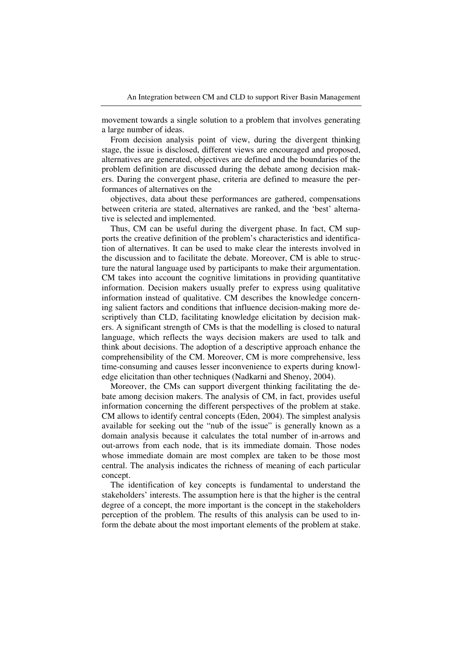movement towards a single solution to a problem that involves generating a large number of ideas.

From decision analysis point of view, during the divergent thinking stage, the issue is disclosed, different views are encouraged and proposed, alternatives are generated, objectives are defined and the boundaries of the problem definition are discussed during the debate among decision makers. During the convergent phase, criteria are defined to measure the performances of alternatives on the

objectives, data about these performances are gathered, compensations between criteria are stated, alternatives are ranked, and the 'best' alternative is selected and implemented.

Thus, CM can be useful during the divergent phase. In fact, CM supports the creative definition of the problem's characteristics and identification of alternatives. It can be used to make clear the interests involved in the discussion and to facilitate the debate. Moreover, CM is able to structure the natural language used by participants to make their argumentation. CM takes into account the cognitive limitations in providing quantitative information. Decision makers usually prefer to express using qualitative information instead of qualitative. CM describes the knowledge concerning salient factors and conditions that influence decision-making more descriptively than CLD, facilitating knowledge elicitation by decision makers. A significant strength of CMs is that the modelling is closed to natural language, which reflects the ways decision makers are used to talk and think about decisions. The adoption of a descriptive approach enhance the comprehensibility of the CM. Moreover, CM is more comprehensive, less time-consuming and causes lesser inconvenience to experts during knowledge elicitation than other techniques (Nadkarni and Shenoy, 2004).

Moreover, the CMs can support divergent thinking facilitating the debate among decision makers. The analysis of CM, in fact, provides useful information concerning the different perspectives of the problem at stake. CM allows to identify central concepts (Eden, 2004). The simplest analysis available for seeking out the "nub of the issue" is generally known as a domain analysis because it calculates the total number of in-arrows and out-arrows from each node, that is its immediate domain. Those nodes whose immediate domain are most complex are taken to be those most central. The analysis indicates the richness of meaning of each particular concept.

The identification of key concepts is fundamental to understand the stakeholders' interests. The assumption here is that the higher is the central degree of a concept, the more important is the concept in the stakeholders perception of the problem. The results of this analysis can be used to inform the debate about the most important elements of the problem at stake.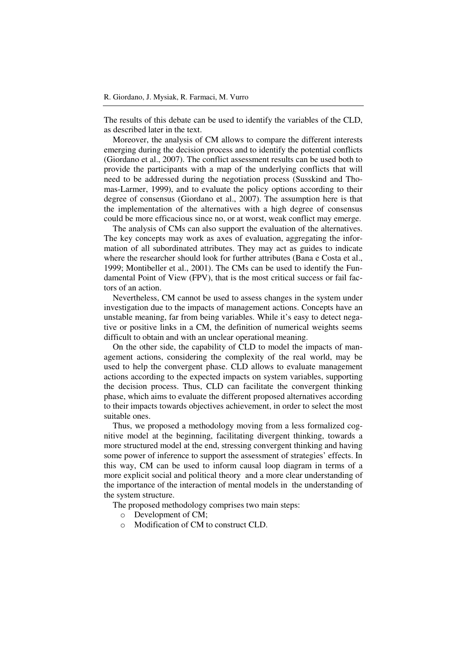The results of this debate can be used to identify the variables of the CLD, as described later in the text.

Moreover, the analysis of CM allows to compare the different interests emerging during the decision process and to identify the potential conflicts (Giordano et al., 2007). The conflict assessment results can be used both to provide the participants with a map of the underlying conflicts that will need to be addressed during the negotiation process (Susskind and Thomas-Larmer, 1999), and to evaluate the policy options according to their degree of consensus (Giordano et al., 2007). The assumption here is that the implementation of the alternatives with a high degree of consensus could be more efficacious since no, or at worst, weak conflict may emerge.

The analysis of CMs can also support the evaluation of the alternatives. The key concepts may work as axes of evaluation, aggregating the information of all subordinated attributes. They may act as guides to indicate where the researcher should look for further attributes (Bana e Costa et al., 1999; Montibeller et al., 2001). The CMs can be used to identify the Fundamental Point of View (FPV), that is the most critical success or fail factors of an action.

Nevertheless, CM cannot be used to assess changes in the system under investigation due to the impacts of management actions. Concepts have an unstable meaning, far from being variables. While it's easy to detect negative or positive links in a CM, the definition of numerical weights seems difficult to obtain and with an unclear operational meaning.

On the other side, the capability of CLD to model the impacts of management actions, considering the complexity of the real world, may be used to help the convergent phase. CLD allows to evaluate management actions according to the expected impacts on system variables, supporting the decision process. Thus, CLD can facilitate the convergent thinking phase, which aims to evaluate the different proposed alternatives according to their impacts towards objectives achievement, in order to select the most suitable ones.

Thus, we proposed a methodology moving from a less formalized cognitive model at the beginning, facilitating divergent thinking, towards a more structured model at the end, stressing convergent thinking and having some power of inference to support the assessment of strategies' effects. In this way, CM can be used to inform causal loop diagram in terms of a more explicit social and political theory and a more clear understanding of the importance of the interaction of mental models in the understanding of the system structure.

The proposed methodology comprises two main steps:

- o Development of CM;
- o Modification of CM to construct CLD.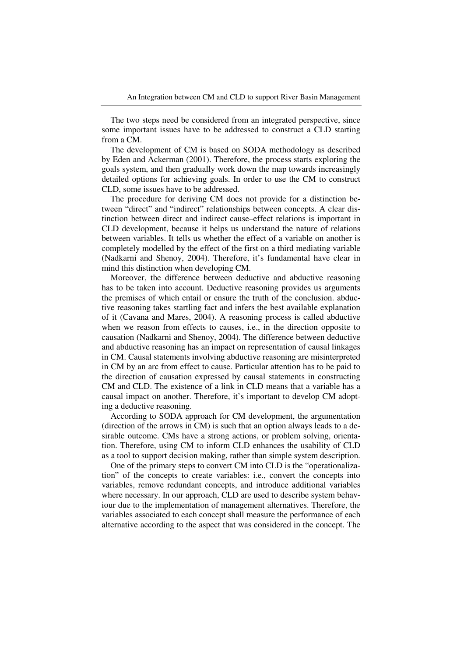The two steps need be considered from an integrated perspective, since some important issues have to be addressed to construct a CLD starting from a CM.

The development of CM is based on SODA methodology as described by Eden and Ackerman (2001). Therefore, the process starts exploring the goals system, and then gradually work down the map towards increasingly detailed options for achieving goals. In order to use the CM to construct CLD, some issues have to be addressed.

The procedure for deriving CM does not provide for a distinction between "direct" and "indirect" relationships between concepts. A clear distinction between direct and indirect cause–effect relations is important in CLD development, because it helps us understand the nature of relations between variables. It tells us whether the effect of a variable on another is completely modelled by the effect of the first on a third mediating variable (Nadkarni and Shenoy, 2004). Therefore, it's fundamental have clear in mind this distinction when developing CM.

Moreover, the difference between deductive and abductive reasoning has to be taken into account. Deductive reasoning provides us arguments the premises of which entail or ensure the truth of the conclusion. abductive reasoning takes startling fact and infers the best available explanation of it (Cavana and Mares, 2004). A reasoning process is called abductive when we reason from effects to causes, i.e., in the direction opposite to causation (Nadkarni and Shenoy, 2004). The difference between deductive and abductive reasoning has an impact on representation of causal linkages in CM. Causal statements involving abductive reasoning are misinterpreted in CM by an arc from effect to cause. Particular attention has to be paid to the direction of causation expressed by causal statements in constructing CM and CLD. The existence of a link in CLD means that a variable has a causal impact on another. Therefore, it's important to develop CM adopting a deductive reasoning.

According to SODA approach for CM development, the argumentation (direction of the arrows in CM) is such that an option always leads to a desirable outcome. CMs have a strong actions, or problem solving, orientation. Therefore, using CM to inform CLD enhances the usability of CLD as a tool to support decision making, rather than simple system description.

One of the primary steps to convert CM into CLD is the "operationalization" of the concepts to create variables: i.e., convert the concepts into variables, remove redundant concepts, and introduce additional variables where necessary. In our approach, CLD are used to describe system behaviour due to the implementation of management alternatives. Therefore, the variables associated to each concept shall measure the performance of each alternative according to the aspect that was considered in the concept. The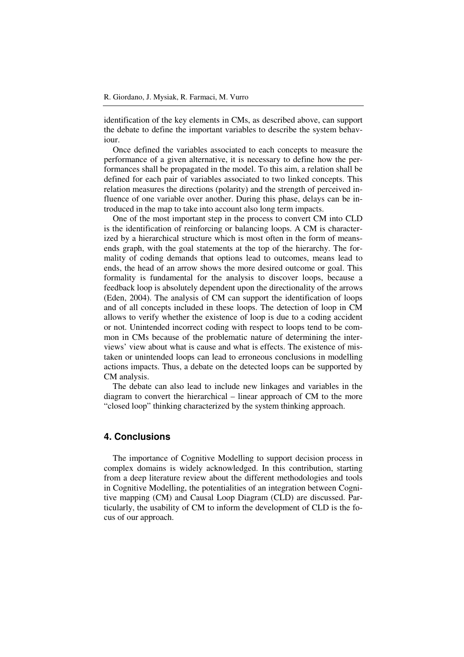identification of the key elements in CMs, as described above, can support the debate to define the important variables to describe the system behaviour.

Once defined the variables associated to each concepts to measure the performance of a given alternative, it is necessary to define how the performances shall be propagated in the model. To this aim, a relation shall be defined for each pair of variables associated to two linked concepts. This relation measures the directions (polarity) and the strength of perceived influence of one variable over another. During this phase, delays can be introduced in the map to take into account also long term impacts.

One of the most important step in the process to convert CM into CLD is the identification of reinforcing or balancing loops. A CM is characterized by a hierarchical structure which is most often in the form of meansends graph, with the goal statements at the top of the hierarchy. The formality of coding demands that options lead to outcomes, means lead to ends, the head of an arrow shows the more desired outcome or goal. This formality is fundamental for the analysis to discover loops, because a feedback loop is absolutely dependent upon the directionality of the arrows (Eden, 2004). The analysis of CM can support the identification of loops and of all concepts included in these loops. The detection of loop in CM allows to verify whether the existence of loop is due to a coding accident or not. Unintended incorrect coding with respect to loops tend to be common in CMs because of the problematic nature of determining the interviews' view about what is cause and what is effects. The existence of mistaken or unintended loops can lead to erroneous conclusions in modelling actions impacts. Thus, a debate on the detected loops can be supported by CM analysis.

The debate can also lead to include new linkages and variables in the diagram to convert the hierarchical – linear approach of CM to the more "closed loop" thinking characterized by the system thinking approach.

#### **4. Conclusions**

The importance of Cognitive Modelling to support decision process in complex domains is widely acknowledged. In this contribution, starting from a deep literature review about the different methodologies and tools in Cognitive Modelling, the potentialities of an integration between Cognitive mapping (CM) and Causal Loop Diagram (CLD) are discussed. Particularly, the usability of CM to inform the development of CLD is the focus of our approach.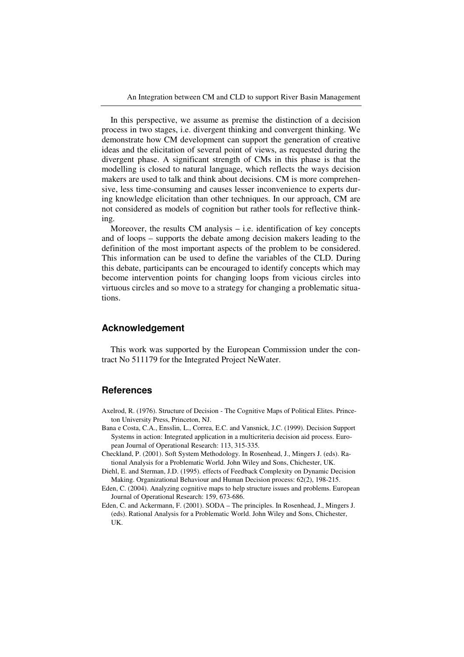An Integration between CM and CLD to support River Basin Management

In this perspective, we assume as premise the distinction of a decision process in two stages, i.e. divergent thinking and convergent thinking. We demonstrate how CM development can support the generation of creative ideas and the elicitation of several point of views, as requested during the divergent phase. A significant strength of CMs in this phase is that the modelling is closed to natural language, which reflects the ways decision makers are used to talk and think about decisions. CM is more comprehensive, less time-consuming and causes lesser inconvenience to experts during knowledge elicitation than other techniques. In our approach, CM are not considered as models of cognition but rather tools for reflective thinking.

Moreover, the results  $CM$  analysis  $-$  i.e. identification of key concepts and of loops – supports the debate among decision makers leading to the definition of the most important aspects of the problem to be considered. This information can be used to define the variables of the CLD. During this debate, participants can be encouraged to identify concepts which may become intervention points for changing loops from vicious circles into virtuous circles and so move to a strategy for changing a problematic situations.

#### **Acknowledgement**

This work was supported by the European Commission under the contract No 511179 for the Integrated Project NeWater.

# **References**

- Axelrod, R. (1976). Structure of Decision The Cognitive Maps of Political Elites. Princeton University Press, Princeton, NJ.
- Bana e Costa, C.A., Ensslin, L., Correa, E.C. and Vansnick, J.C. (1999). Decision Support Systems in action: Integrated application in a multicriteria decision aid process. European Journal of Operational Research: 113, 315-335.
- Checkland, P. (2001). Soft System Methodology. In Rosenhead, J., Mingers J. (eds). Rational Analysis for a Problematic World. John Wiley and Sons, Chichester, UK.
- Diehl, E. and Sterman, J.D. (1995). effects of Feedback Complexity on Dynamic Decision Making. Organizational Behaviour and Human Decision process: 62(2), 198-215.
- Eden, C. (2004). Analyzing cognitive maps to help structure issues and problems. European Journal of Operational Research: 159, 673-686.
- Eden, C. and Ackermann, F. (2001). SODA The principles. In Rosenhead, J., Mingers J. (eds). Rational Analysis for a Problematic World. John Wiley and Sons, Chichester, UK.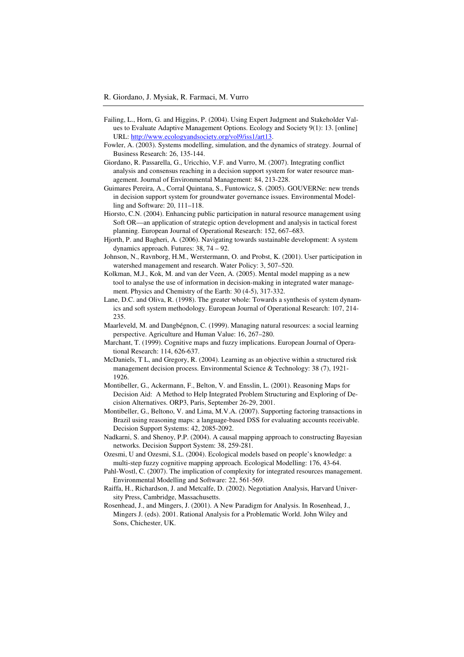- Failing, L., Horn, G. and Higgins, P. (2004). Using Expert Judgment and Stakeholder Values to Evaluate Adaptive Management Options. Ecology and Society 9(1): 13. [online] URL: http://www.ecologyandsociety.org/vol9/iss1/art13.
- Fowler, A. (2003). Systems modelling, simulation, and the dynamics of strategy. Journal of Business Research: 26, 135-144.
- Giordano, R. Passarella, G., Uricchio, V.F. and Vurro, M. (2007). Integrating conflict analysis and consensus reaching in a decision support system for water resource management. Journal of Environmental Management: 84, 213-228.
- Guimares Pereira, A., Corral Quintana, S., Funtowicz, S. (2005). GOUVERNe: new trends in decision support system for groundwater governance issues. Environmental Modelling and Software: 20, 111–118.
- Hiorsto, C.N. (2004). Enhancing public participation in natural resource management using Soft OR––an application of strategic option development and analysis in tactical forest planning. European Journal of Operational Research: 152, 667–683.
- Hjorth, P. and Bagheri, A. (2006). Navigating towards sustainable development: A system dynamics approach. Futures: 38, 74 – 92.
- Johnson, N., Ravnborg, H.M., Werstermann, O. and Probst, K. (2001). User participation in watershed management and research. Water Policy: 3, 507–520.
- Kolkman, M.J., Kok, M. and van der Veen, A. (2005). Mental model mapping as a new tool to analyse the use of information in decision-making in integrated water management. Physics and Chemistry of the Earth: 30 (4-5), 317-332.
- Lane, D.C. and Oliva, R. (1998). The greater whole: Towards a synthesis of system dynamics and soft system methodology. European Journal of Operational Research: 107, 214- 235.
- Maarleveld, M. and Dangbégnon, C. (1999). Managing natural resources: a social learning perspective. Agriculture and Human Value: 16, 267–280.
- Marchant, T. (1999). Cognitive maps and fuzzy implications. European Journal of Operational Research: 114, 626-637.
- McDaniels, T L, and Gregory, R. (2004). Learning as an objective within a structured risk management decision process. Environmental Science & Technology: 38 (7), 1921- 1926.
- Montibeller, G., Ackermann, F., Belton, V. and Ensslin, L. (2001). Reasoning Maps for Decision Aid: A Method to Help Integrated Problem Structuring and Exploring of Decision Alternatives. ORP3, Paris, September 26-29, 2001.
- Montibeller, G., Beltono, V. and Lima, M.V.A. (2007). Supporting factoring transactions in Brazil using reasoning maps: a language-based DSS for evaluating accounts receivable. Decision Support Systems: 42, 2085-2092.
- Nadkarni, S. and Shenoy, P.P. (2004). A causal mapping approach to constructing Bayesian networks. Decision Support System: 38, 259-281.
- Ozesmi, U and Ozesmi, S.L. (2004). Ecological models based on people's knowledge: a multi-step fuzzy cognitive mapping approach. Ecological Modelling: 176, 43-64.
- Pahl-Wostl, C. (2007). The implication of complexity for integrated resources management. Environmental Modelling and Software: 22, 561-569.
- Raiffa, H., Richardson, J. and Metcalfe, D. (2002). Negotiation Analysis, Harvard University Press, Cambridge, Massachusetts.
- Rosenhead, J., and Mingers, J. (2001). A New Paradigm for Analysis. In Rosenhead, J., Mingers J. (eds). 2001. Rational Analysis for a Problematic World. John Wiley and Sons, Chichester, UK.